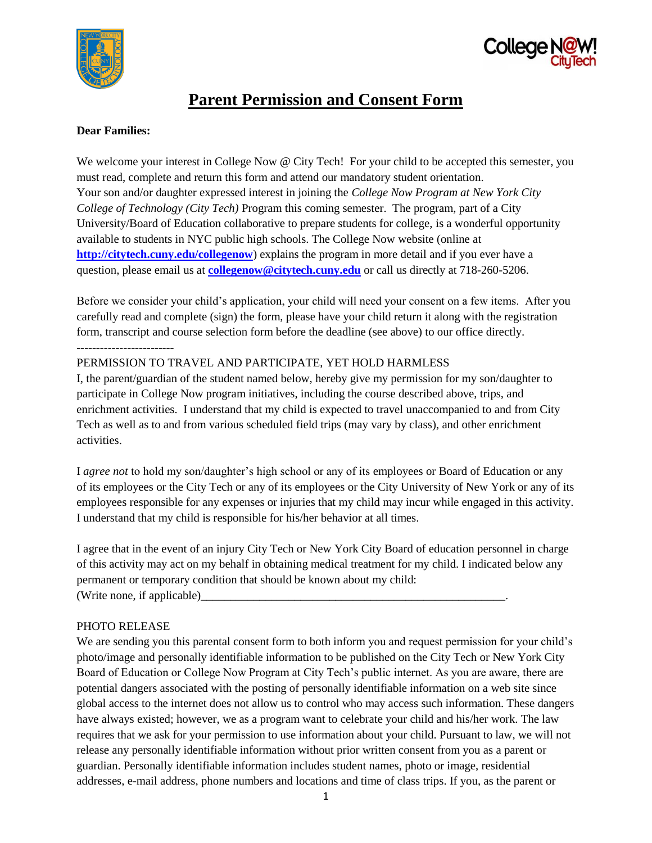



# **Parent Permission and Consent Form**

## **Dear Families:**

 *College of Technology (City Tech)* Program this coming semester. The program, part of a City We welcome your interest in College Now @ City Tech! For your child to be accepted this semester, you must read, complete and return this form and attend our mandatory student orientation. Your son and/or daughter expressed interest in joining the *College Now Program at New York City*  University/Board of Education collaborative to prepare students for college, is a wonderful opportunity available to students in NYC public high schools. The College Now website (online at **<http://citytech.cuny.edu/collegenow>**) explains the program in more detail and if you ever have a question, please email us at **[collegenow@citytech.cuny.edu](mailto:collegenow@citytech.cuny.edu)** or call us directly at 718-260-5206.

------------------------- Before we consider your child's application, your child will need your consent on a few items. After you carefully read and complete (sign) the form, please have your child return it along with the registration form, transcript and course selection form before the deadline (see above) to our office directly.

## PERMISSION TO TRAVEL AND PARTICIPATE, YET HOLD HARMLESS

 I, the parent/guardian of the student named below, hereby give my permission for my son/daughter to participate in College Now program initiatives, including the course described above, trips, and enrichment activities. I understand that my child is expected to travel unaccompanied to and from City Tech as well as to and from various scheduled field trips (may vary by class), and other enrichment activities.

I *agree not* to hold my son/daughter's high school or any of its employees or Board of Education or any of its employees or the City Tech or any of its employees or the City University of New York or any of its employees responsible for any expenses or injuries that my child may incur while engaged in this activity. I understand that my child is responsible for his/her behavior at all times.

I agree that in the event of an injury City Tech or New York City Board of education personnel in charge of this activity may act on my behalf in obtaining medical treatment for my child. I indicated below any permanent or temporary condition that should be known about my child: (Write none, if applicable)\_\_\_\_\_\_\_\_\_\_\_\_\_\_\_\_\_\_\_\_\_\_\_\_\_\_\_\_\_\_\_\_\_\_\_\_\_\_\_\_\_\_\_\_\_\_\_\_\_\_\_\_.

#### PHOTO RELEASE

 We are sending you this parental consent form to both inform you and request permission for your child's addresses, e-mail address, phone numbers and locations and time of class trips. If you, as the parent or photo/image and personally identifiable information to be published on the City Tech or New York City Board of Education or College Now Program at City Tech's public internet. As you are aware, there are potential dangers associated with the posting of personally identifiable information on a web site since global access to the internet does not allow us to control who may access such information. These dangers have always existed; however, we as a program want to celebrate your child and his/her work. The law requires that we ask for your permission to use information about your child. Pursuant to law, we will not release any personally identifiable information without prior written consent from you as a parent or guardian. Personally identifiable information includes student names, photo or image, residential